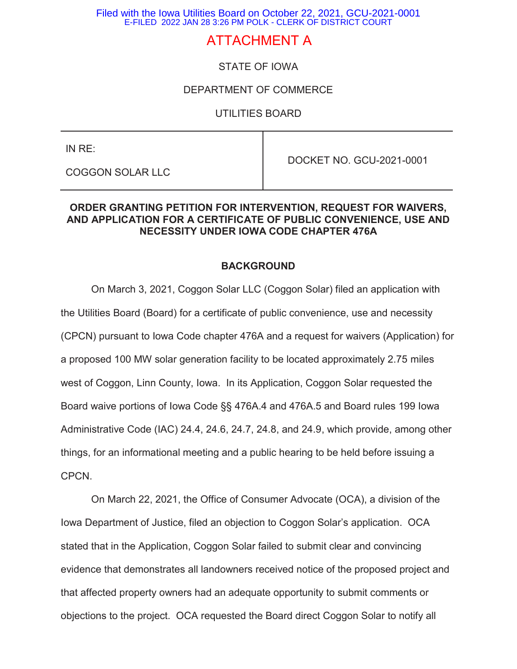Filed with the Iowa Utilities Board on October 22, 2021, GCU-2021-0001 E-FILED 2022 JAN 28 3:26 PM POLK - CLERK OF DISTRICT COURT

# ATTACHMENT A

# STATE OF IOWA

#### DEPARTMENT OF COMMERCE

#### UTILITIES BOARD

IN RE:

COGGON SOLAR LLC

DOCKET NO. GCU-2021-0001

#### **ORDER GRANTING PETITION FOR INTERVENTION, REQUEST FOR WAIVERS, AND APPLICATION FOR A CERTIFICATE OF PUBLIC CONVENIENCE, USE AND NECESSITY UNDER IOWA CODE CHAPTER 476A**

#### **BACKGROUND**

On March 3, 2021, Coggon Solar LLC (Coggon Solar) filed an application with the Utilities Board (Board) for a certificate of public convenience, use and necessity (CPCN) pursuant to Iowa Code chapter 476A and a request for waivers (Application) for a proposed 100 MW solar generation facility to be located approximately 2.75 miles west of Coggon, Linn County, Iowa. In its Application, Coggon Solar requested the Board waive portions of Iowa Code §§ 476A.4 and 476A.5 and Board rules 199 Iowa Administrative Code (IAC) 24.4, 24.6, 24.7, 24.8, and 24.9, which provide, among other things, for an informational meeting and a public hearing to be held before issuing a CPCN.

On March 22, 2021, the Office of Consumer Advocate (OCA), a division of the Iowa Department of Justice, filed an objection to Coggon Solar's application. OCA stated that in the Application, Coggon Solar failed to submit clear and convincing evidence that demonstrates all landowners received notice of the proposed project and that affected property owners had an adequate opportunity to submit comments or objections to the project. OCA requested the Board direct Coggon Solar to notify all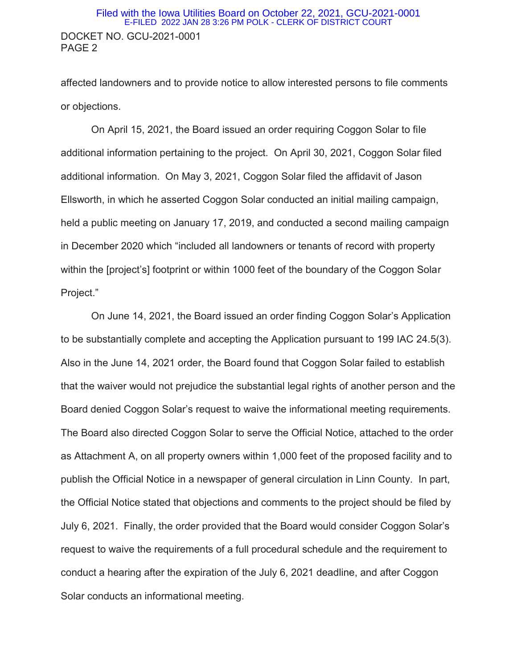#### DOCKET NO. GCU-2021-0001 PAGE 2 Filed with the Iowa Utilities Board on October 22, 2021, GCU-2021-0001 E-FILED 2022 JAN 28 3:26 PM POLK - CLERK OF DISTRICT COURT

affected landowners and to provide notice to allow interested persons to file comments or objections.

On April 15, 2021, the Board issued an order requiring Coggon Solar to file additional information pertaining to the project. On April 30, 2021, Coggon Solar filed additional information. On May 3, 2021, Coggon Solar filed the affidavit of Jason Ellsworth, in which he asserted Coggon Solar conducted an initial mailing campaign, held a public meeting on January 17, 2019, and conducted a second mailing campaign in December 2020 which "included all landowners or tenants of record with property within the [project's] footprint or within 1000 feet of the boundary of the Coggon Solar Project."

On June 14, 2021, the Board issued an order finding Coggon Solar's Application to be substantially complete and accepting the Application pursuant to 199 IAC 24.5(3). Also in the June 14, 2021 order, the Board found that Coggon Solar failed to establish that the waiver would not prejudice the substantial legal rights of another person and the Board denied Coggon Solar's request to waive the informational meeting requirements. The Board also directed Coggon Solar to serve the Official Notice, attached to the order as Attachment A, on all property owners within 1,000 feet of the proposed facility and to publish the Official Notice in a newspaper of general circulation in Linn County. In part, the Official Notice stated that objections and comments to the project should be filed by July 6, 2021. Finally, the order provided that the Board would consider Coggon Solar's request to waive the requirements of a full procedural schedule and the requirement to conduct a hearing after the expiration of the July 6, 2021 deadline, and after Coggon Solar conducts an informational meeting.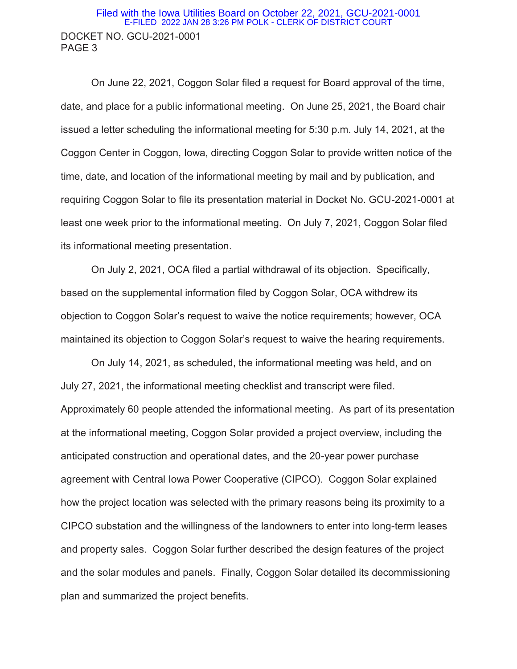#### DOCKET NO. GCU-2021-0001 PAGE 3 Filed with the Iowa Utilities Board on October 22, 2021, GCU-2021-0001 E-FILED 2022 JAN 28 3:26 PM POLK - CLERK OF DISTRICT COURT

On June 22, 2021, Coggon Solar filed a request for Board approval of the time, date, and place for a public informational meeting. On June 25, 2021, the Board chair issued a letter scheduling the informational meeting for 5:30 p.m. July 14, 2021, at the Coggon Center in Coggon, Iowa, directing Coggon Solar to provide written notice of the time, date, and location of the informational meeting by mail and by publication, and requiring Coggon Solar to file its presentation material in Docket No. GCU-2021-0001 at least one week prior to the informational meeting. On July 7, 2021, Coggon Solar filed its informational meeting presentation.

On July 2, 2021, OCA filed a partial withdrawal of its objection. Specifically, based on the supplemental information filed by Coggon Solar, OCA withdrew its objection to Coggon Solar's request to waive the notice requirements; however, OCA maintained its objection to Coggon Solar's request to waive the hearing requirements.

On July 14, 2021, as scheduled, the informational meeting was held, and on July 27, 2021, the informational meeting checklist and transcript were filed. Approximately 60 people attended the informational meeting. As part of its presentation at the informational meeting, Coggon Solar provided a project overview, including the anticipated construction and operational dates, and the 20-year power purchase agreement with Central Iowa Power Cooperative (CIPCO). Coggon Solar explained how the project location was selected with the primary reasons being its proximity to a CIPCO substation and the willingness of the landowners to enter into long-term leases and property sales. Coggon Solar further described the design features of the project and the solar modules and panels. Finally, Coggon Solar detailed its decommissioning plan and summarized the project benefits.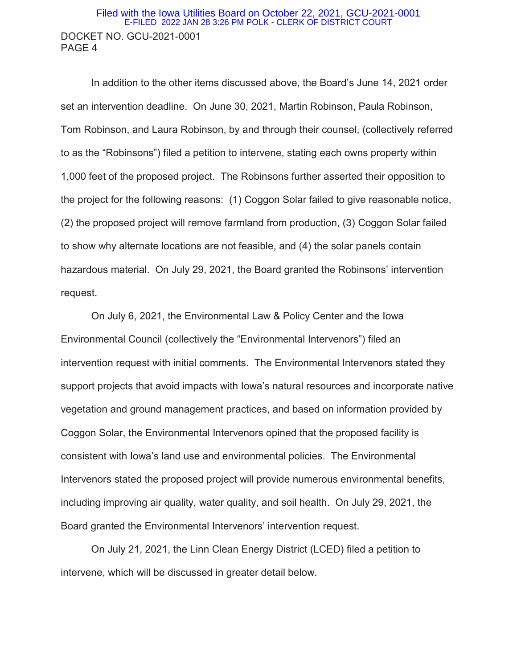#### DOCKET NO. GCU-2021-0001 PAGE 4 Filed with the Iowa Utilities Board on October 22, 2021, GCU-2021-0001 E-FILED 2022 JAN 28 3:26 PM POLK - CLERK OF DISTRICT COURT

In addition to the other items discussed above, the Board's June 14, 2021 order set an intervention deadline. On June 30, 2021, Martin Robinson, Paula Robinson, Tom Robinson, and Laura Robinson, by and through their counsel, (collectively referred to as the "Robinsons") filed a petition to intervene, stating each owns property within 1,000 feet of the proposed project. The Robinsons further asserted their opposition to the project for the following reasons: (1) Coggon Solar failed to give reasonable notice, (2) the proposed project will remove farmland from production, (3) Coggon Solar failed to show why alternate locations are not feasible, and (4) the solar panels contain hazardous material. On July 29, 2021, the Board granted the Robinsons' intervention request.

On July 6, 2021, the Environmental Law & Policy Center and the Iowa Environmental Council (collectively the "Environmental Intervenors") filed an intervention request with initial comments. The Environmental Intervenors stated they support projects that avoid impacts with Iowa's natural resources and incorporate native vegetation and ground management practices, and based on information provided by Coggon Solar, the Environmental Intervenors opined that the proposed facility is consistent with Iowa's land use and environmental policies. The Environmental Intervenors stated the proposed project will provide numerous environmental benefits, including improving air quality, water quality, and soil health. On July 29, 2021, the Board granted the Environmental Intervenors' intervention request.

On July 21, 2021, the Linn Clean Energy District (LCED) filed a petition to intervene, which will be discussed in greater detail below.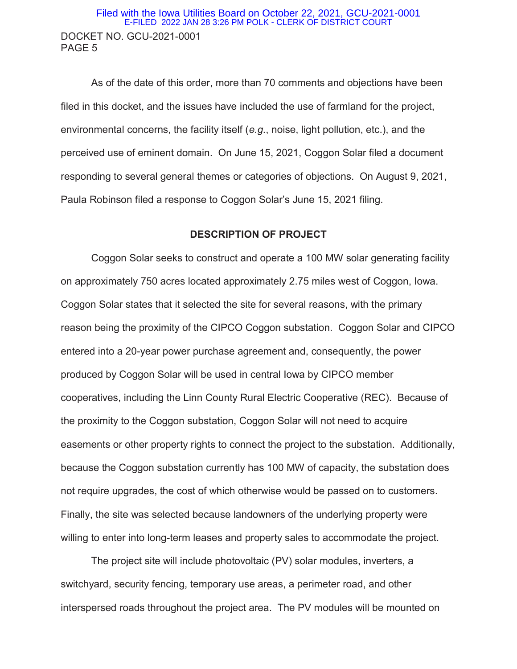### DOCKET NO. GCU-2021-0001 PAGE 5 Filed with the Iowa Utilities Board on October 22, 2021, GCU-2021-0001 E-FILED 2022 JAN 28 3:26 PM POLK - CLERK OF DISTRICT COURT

As of the date of this order, more than 70 comments and objections have been filed in this docket, and the issues have included the use of farmland for the project, environmental concerns, the facility itself (*e.g.*, noise, light pollution, etc.), and the perceived use of eminent domain. On June 15, 2021, Coggon Solar filed a document responding to several general themes or categories of objections. On August 9, 2021, Paula Robinson filed a response to Coggon Solar's June 15, 2021 filing.

#### **DESCRIPTION OF PROJECT**

Coggon Solar seeks to construct and operate a 100 MW solar generating facility on approximately 750 acres located approximately 2.75 miles west of Coggon, Iowa. Coggon Solar states that it selected the site for several reasons, with the primary reason being the proximity of the CIPCO Coggon substation. Coggon Solar and CIPCO entered into a 20-year power purchase agreement and, consequently, the power produced by Coggon Solar will be used in central Iowa by CIPCO member cooperatives, including the Linn County Rural Electric Cooperative (REC). Because of the proximity to the Coggon substation, Coggon Solar will not need to acquire easements or other property rights to connect the project to the substation. Additionally, because the Coggon substation currently has 100 MW of capacity, the substation does not require upgrades, the cost of which otherwise would be passed on to customers. Finally, the site was selected because landowners of the underlying property were willing to enter into long-term leases and property sales to accommodate the project.

The project site will include photovoltaic (PV) solar modules, inverters, a switchyard, security fencing, temporary use areas, a perimeter road, and other interspersed roads throughout the project area. The PV modules will be mounted on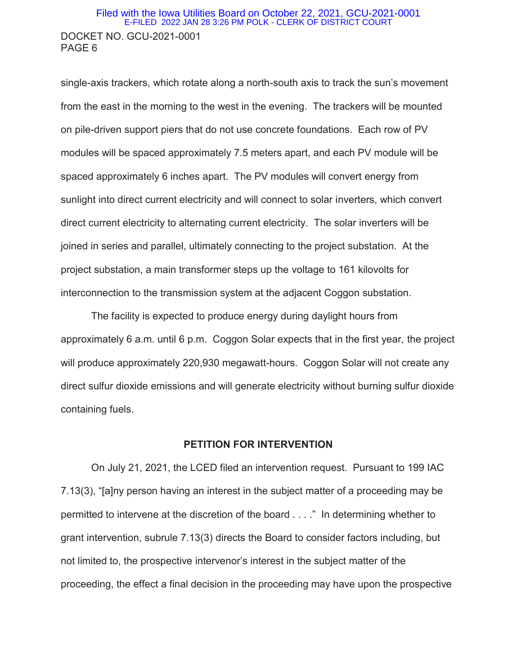#### DOCKET NO. GCU-2021-0001 PAGE 6 Filed with the Iowa Utilities Board on October 22, 2021, GCU-2021-0001 E-FILED 2022 JAN 28 3:26 PM POLK - CLERK OF DISTRICT COURT

single-axis trackers, which rotate along a north-south axis to track the sun's movement from the east in the morning to the west in the evening. The trackers will be mounted on pile-driven support piers that do not use concrete foundations. Each row of PV modules will be spaced approximately 7.5 meters apart, and each PV module will be spaced approximately 6 inches apart. The PV modules will convert energy from sunlight into direct current electricity and will connect to solar inverters, which convert direct current electricity to alternating current electricity. The solar inverters will be joined in series and parallel, ultimately connecting to the project substation. At the project substation, a main transformer steps up the voltage to 161 kilovolts for interconnection to the transmission system at the adjacent Coggon substation.

The facility is expected to produce energy during daylight hours from approximately 6 a.m. until 6 p.m. Coggon Solar expects that in the first year, the project will produce approximately 220,930 megawatt-hours. Coggon Solar will not create any direct sulfur dioxide emissions and will generate electricity without burning sulfur dioxide containing fuels.

#### **PETITION FOR INTERVENTION**

On July 21, 2021, the LCED filed an intervention request. Pursuant to 199 IAC 7.13(3), "[a]ny person having an interest in the subject matter of a proceeding may be permitted to intervene at the discretion of the board . . . ." In determining whether to grant intervention, subrule 7.13(3) directs the Board to consider factors including, but not limited to, the prospective intervenor's interest in the subject matter of the proceeding, the effect a final decision in the proceeding may have upon the prospective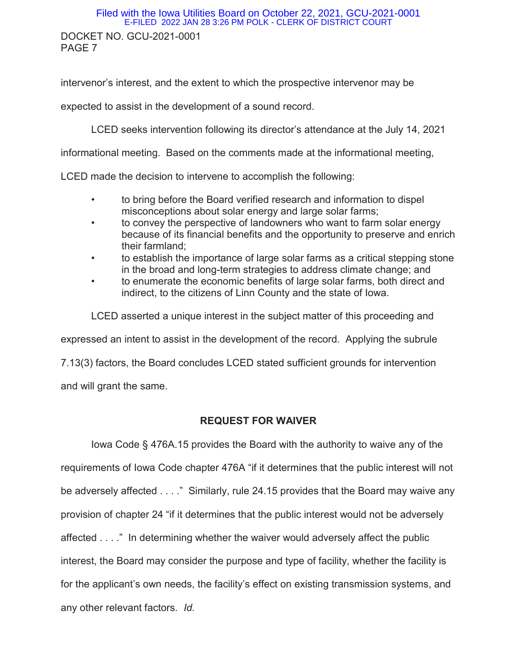#### DOCKET NO. GCU-2021-0001 PAGE 7 Filed with the Iowa Utilities Board on October 22, 2021, GCU-2021-0001 E-FILED 2022 JAN 28 3:26 PM POLK - CLERK OF DISTRICT COURT

intervenor's interest, and the extent to which the prospective intervenor may be

expected to assist in the development of a sound record.

LCED seeks intervention following its director's attendance at the July 14, 2021

informational meeting. Based on the comments made at the informational meeting,

LCED made the decision to intervene to accomplish the following:

- to bring before the Board verified research and information to dispel misconceptions about solar energy and large solar farms;
- to convey the perspective of landowners who want to farm solar energy because of its financial benefits and the opportunity to preserve and enrich their farmland;
- to establish the importance of large solar farms as a critical stepping stone in the broad and long-term strategies to address climate change; and
- to enumerate the economic benefits of large solar farms, both direct and indirect, to the citizens of Linn County and the state of Iowa.

LCED asserted a unique interest in the subject matter of this proceeding and

expressed an intent to assist in the development of the record. Applying the subrule

7.13(3) factors, the Board concludes LCED stated sufficient grounds for intervention

and will grant the same.

#### **REQUEST FOR WAIVER**

 Iowa Code § 476A.15 provides the Board with the authority to waive any of the requirements of Iowa Code chapter 476A "if it determines that the public interest will not be adversely affected . . . ." Similarly, rule 24.15 provides that the Board may waive any provision of chapter 24 "if it determines that the public interest would not be adversely affected . . . ." In determining whether the waiver would adversely affect the public interest, the Board may consider the purpose and type of facility, whether the facility is for the applicant's own needs, the facility's effect on existing transmission systems, and any other relevant factors. *Id.*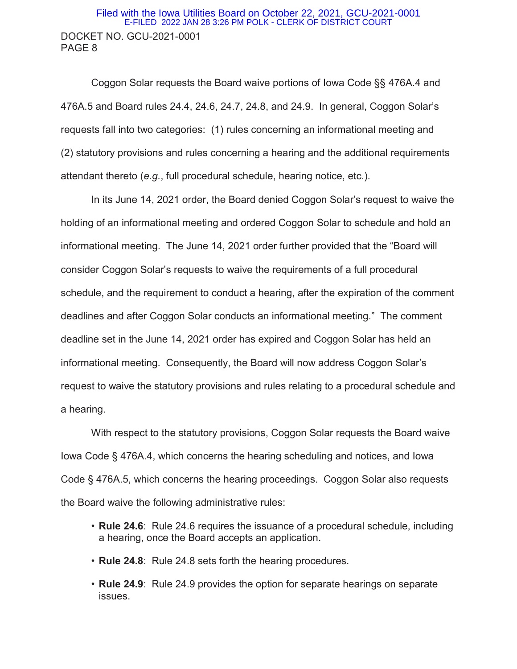### DOCKET NO. GCU-2021-0001 PAGE 8 Filed with the Iowa Utilities Board on October 22, 2021, GCU-2021-0001 E-FILED 2022 JAN 28 3:26 PM POLK - CLERK OF DISTRICT COURT

 Coggon Solar requests the Board waive portions of Iowa Code §§ 476A.4 and 476A.5 and Board rules 24.4, 24.6, 24.7, 24.8, and 24.9. In general, Coggon Solar's requests fall into two categories: (1) rules concerning an informational meeting and (2) statutory provisions and rules concerning a hearing and the additional requirements attendant thereto (*e.g.*, full procedural schedule, hearing notice, etc.).

In its June 14, 2021 order, the Board denied Coggon Solar's request to waive the holding of an informational meeting and ordered Coggon Solar to schedule and hold an informational meeting. The June 14, 2021 order further provided that the "Board will consider Coggon Solar's requests to waive the requirements of a full procedural schedule, and the requirement to conduct a hearing, after the expiration of the comment deadlines and after Coggon Solar conducts an informational meeting." The comment deadline set in the June 14, 2021 order has expired and Coggon Solar has held an informational meeting. Consequently, the Board will now address Coggon Solar's request to waive the statutory provisions and rules relating to a procedural schedule and a hearing.

With respect to the statutory provisions, Coggon Solar requests the Board waive Iowa Code § 476A.4, which concerns the hearing scheduling and notices, and Iowa Code § 476A.5, which concerns the hearing proceedings. Coggon Solar also requests the Board waive the following administrative rules:

- **Rule 24.6**: Rule 24.6 requires the issuance of a procedural schedule, including a hearing, once the Board accepts an application.
- *•* **Rule 24.8**: Rule 24.8 sets forth the hearing procedures.
- *•* **Rule 24.9**: Rule 24.9 provides the option for separate hearings on separate issues.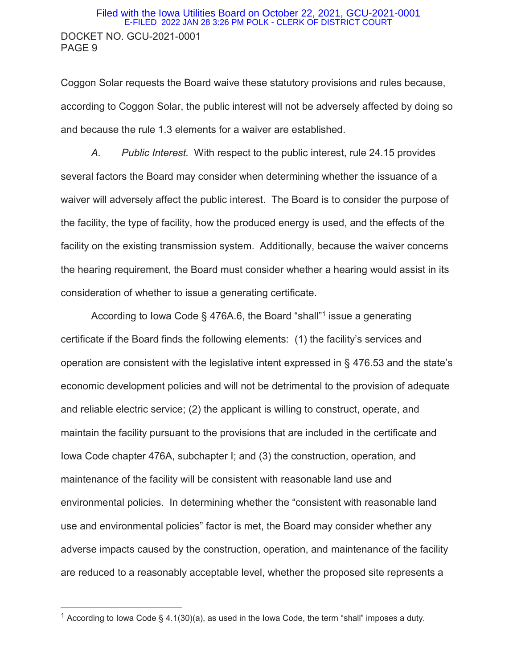#### DOCKET NO. GCU-2021-0001 PAGE 9 Filed with the Iowa Utilities Board on October 22, 2021, GCU-2021-0001 E-FILED 2022 JAN 28 3:26 PM POLK - CLERK OF DISTRICT COURT

Coggon Solar requests the Board waive these statutory provisions and rules because, according to Coggon Solar, the public interest will not be adversely affected by doing so and because the rule 1.3 elements for a waiver are established.

*A. Public Interest.* With respect to the public interest, rule 24.15 provides several factors the Board may consider when determining whether the issuance of a waiver will adversely affect the public interest. The Board is to consider the purpose of the facility, the type of facility, how the produced energy is used, and the effects of the facility on the existing transmission system. Additionally, because the waiver concerns the hearing requirement, the Board must consider whether a hearing would assist in its consideration of whether to issue a generating certificate.

According to Iowa Code § 476A.6, the Board "shall"<sup>1</sup> issue a generating certificate if the Board finds the following elements: (1) the facility's services and operation are consistent with the legislative intent expressed in § 476.53 and the state's economic development policies and will not be detrimental to the provision of adequate and reliable electric service; (2) the applicant is willing to construct, operate, and maintain the facility pursuant to the provisions that are included in the certificate and Iowa Code chapter 476A, subchapter I; and (3) the construction, operation, and maintenance of the facility will be consistent with reasonable land use and environmental policies. In determining whether the "consistent with reasonable land use and environmental policies" factor is met, the Board may consider whether any adverse impacts caused by the construction, operation, and maintenance of the facility are reduced to a reasonably acceptable level, whether the proposed site represents a

 $\overline{a}$ 

<sup>&</sup>lt;sup>1</sup> According to Iowa Code § 4.1(30)(a), as used in the Iowa Code, the term "shall" imposes a duty.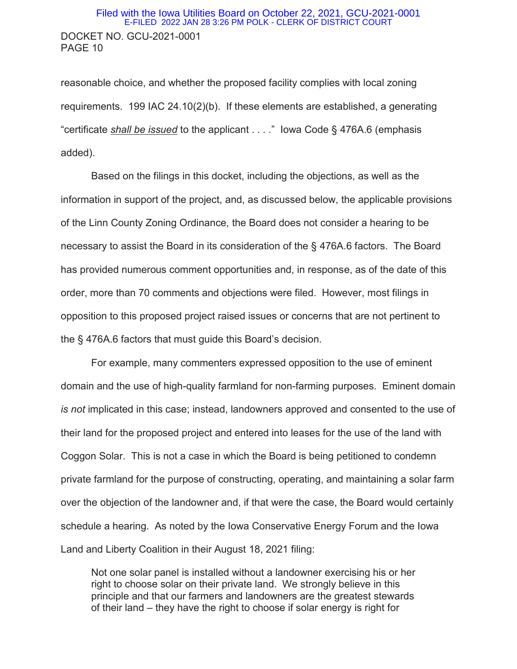### DOCKET NO. GCU-2021-0001 PAGE 10 Filed with the Iowa Utilities Board on October 22, 2021, GCU-2021-0001 E-FILED 2022 JAN 28 3:26 PM POLK - CLERK OF DISTRICT COURT

reasonable choice, and whether the proposed facility complies with local zoning requirements. 199 IAC 24.10(2)(b). If these elements are established, a generating "certificate *shall be issued* to the applicant . . . ." Iowa Code § 476A.6 (emphasis added).

Based on the filings in this docket, including the objections, as well as the information in support of the project, and, as discussed below, the applicable provisions of the Linn County Zoning Ordinance, the Board does not consider a hearing to be necessary to assist the Board in its consideration of the § 476A.6 factors. The Board has provided numerous comment opportunities and, in response, as of the date of this order, more than 70 comments and objections were filed. However, most filings in opposition to this proposed project raised issues or concerns that are not pertinent to the § 476A.6 factors that must guide this Board's decision.

For example, many commenters expressed opposition to the use of eminent domain and the use of high-quality farmland for non-farming purposes. Eminent domain *is not* implicated in this case; instead, landowners approved and consented to the use of their land for the proposed project and entered into leases for the use of the land with Coggon Solar. This is not a case in which the Board is being petitioned to condemn private farmland for the purpose of constructing, operating, and maintaining a solar farm over the objection of the landowner and, if that were the case, the Board would certainly schedule a hearing. As noted by the Iowa Conservative Energy Forum and the Iowa Land and Liberty Coalition in their August 18, 2021 filing:

Not one solar panel is installed without a landowner exercising his or her right to choose solar on their private land. We strongly believe in this principle and that our farmers and landowners are the greatest stewards of their land – they have the right to choose if solar energy is right for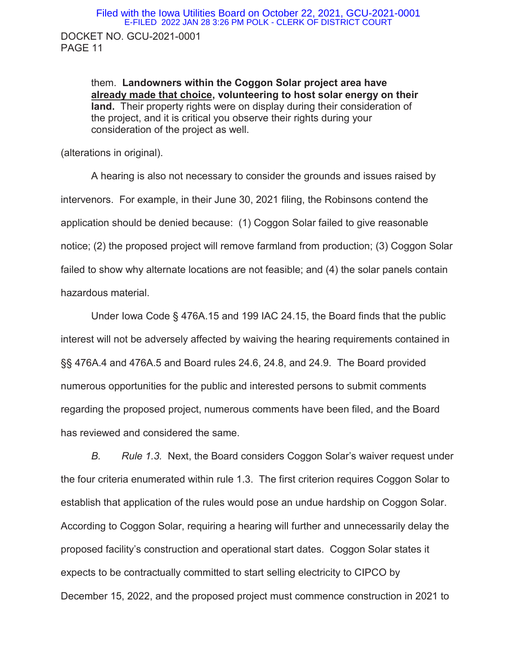them. **Landowners within the Coggon Solar project area have already made that choice, volunteering to host solar energy on their land.** Their property rights were on display during their consideration of the project, and it is critical you observe their rights during your consideration of the project as well.

(alterations in original).

 A hearing is also not necessary to consider the grounds and issues raised by intervenors. For example, in their June 30, 2021 filing, the Robinsons contend the application should be denied because: (1) Coggon Solar failed to give reasonable notice; (2) the proposed project will remove farmland from production; (3) Coggon Solar failed to show why alternate locations are not feasible; and (4) the solar panels contain hazardous material.

Under Iowa Code § 476A.15 and 199 IAC 24.15, the Board finds that the public interest will not be adversely affected by waiving the hearing requirements contained in §§ 476A.4 and 476A.5 and Board rules 24.6, 24.8, and 24.9. The Board provided numerous opportunities for the public and interested persons to submit comments regarding the proposed project, numerous comments have been filed, and the Board has reviewed and considered the same.

*B. Rule 1.3.* Next, the Board considers Coggon Solar's waiver request under the four criteria enumerated within rule 1.3. The first criterion requires Coggon Solar to establish that application of the rules would pose an undue hardship on Coggon Solar. According to Coggon Solar, requiring a hearing will further and unnecessarily delay the proposed facility's construction and operational start dates. Coggon Solar states it expects to be contractually committed to start selling electricity to CIPCO by December 15, 2022, and the proposed project must commence construction in 2021 to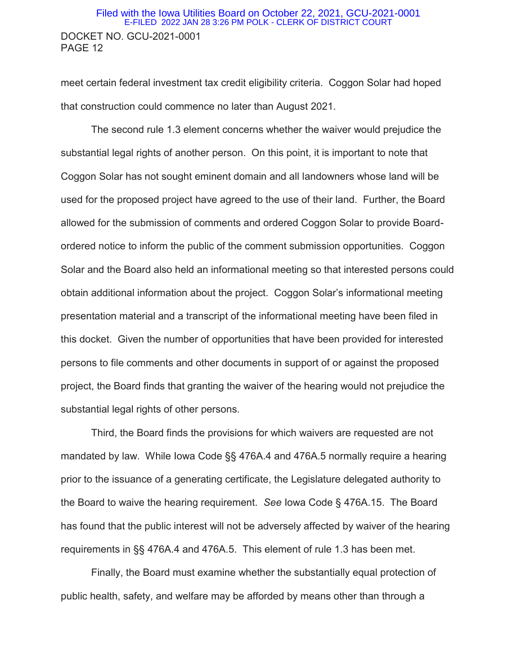### DOCKET NO. GCU-2021-0001 PAGE 12 Filed with the Iowa Utilities Board on October 22, 2021, GCU-2021-0001 E-FILED 2022 JAN 28 3:26 PM POLK - CLERK OF DISTRICT COURT

meet certain federal investment tax credit eligibility criteria. Coggon Solar had hoped that construction could commence no later than August 2021.

 The second rule 1.3 element concerns whether the waiver would prejudice the substantial legal rights of another person. On this point, it is important to note that Coggon Solar has not sought eminent domain and all landowners whose land will be used for the proposed project have agreed to the use of their land. Further, the Board allowed for the submission of comments and ordered Coggon Solar to provide Boardordered notice to inform the public of the comment submission opportunities. Coggon Solar and the Board also held an informational meeting so that interested persons could obtain additional information about the project. Coggon Solar's informational meeting presentation material and a transcript of the informational meeting have been filed in this docket. Given the number of opportunities that have been provided for interested persons to file comments and other documents in support of or against the proposed project, the Board finds that granting the waiver of the hearing would not prejudice the substantial legal rights of other persons.

Third, the Board finds the provisions for which waivers are requested are not mandated by law. While Iowa Code §§ 476A.4 and 476A.5 normally require a hearing prior to the issuance of a generating certificate, the Legislature delegated authority to the Board to waive the hearing requirement. *See* Iowa Code § 476A.15. The Board has found that the public interest will not be adversely affected by waiver of the hearing requirements in §§ 476A.4 and 476A.5. This element of rule 1.3 has been met.

 Finally, the Board must examine whether the substantially equal protection of public health, safety, and welfare may be afforded by means other than through a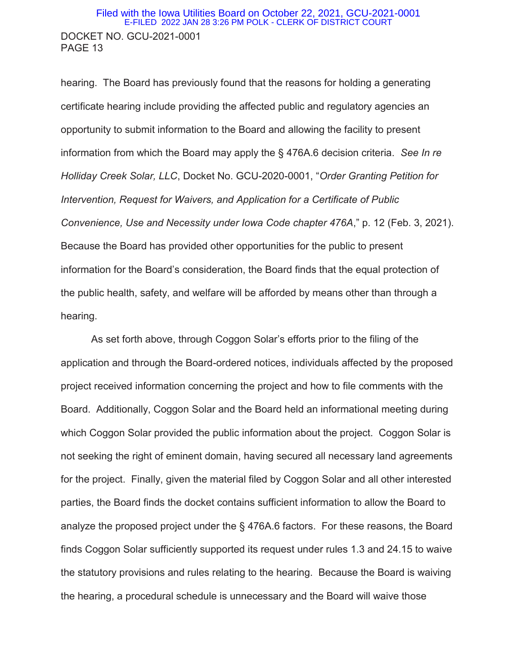### DOCKET NO. GCU-2021-0001 PAGE 13 Filed with the Iowa Utilities Board on October 22, 2021, GCU-2021-0001 E-FILED 2022 JAN 28 3:26 PM POLK - CLERK OF DISTRICT COURT

hearing. The Board has previously found that the reasons for holding a generating certificate hearing include providing the affected public and regulatory agencies an opportunity to submit information to the Board and allowing the facility to present information from which the Board may apply the § 476A.6 decision criteria. *See In re Holliday Creek Solar, LLC*, Docket No. GCU-2020-0001, "*Order Granting Petition for Intervention, Request for Waivers, and Application for a Certificate of Public Convenience, Use and Necessity under Iowa Code chapter 476A*," p. 12 (Feb. 3, 2021). Because the Board has provided other opportunities for the public to present information for the Board's consideration, the Board finds that the equal protection of the public health, safety, and welfare will be afforded by means other than through a hearing.

As set forth above, through Coggon Solar's efforts prior to the filing of the application and through the Board-ordered notices, individuals affected by the proposed project received information concerning the project and how to file comments with the Board. Additionally, Coggon Solar and the Board held an informational meeting during which Coggon Solar provided the public information about the project. Coggon Solar is not seeking the right of eminent domain, having secured all necessary land agreements for the project. Finally, given the material filed by Coggon Solar and all other interested parties, the Board finds the docket contains sufficient information to allow the Board to analyze the proposed project under the § 476A.6 factors. For these reasons, the Board finds Coggon Solar sufficiently supported its request under rules 1.3 and 24.15 to waive the statutory provisions and rules relating to the hearing. Because the Board is waiving the hearing, a procedural schedule is unnecessary and the Board will waive those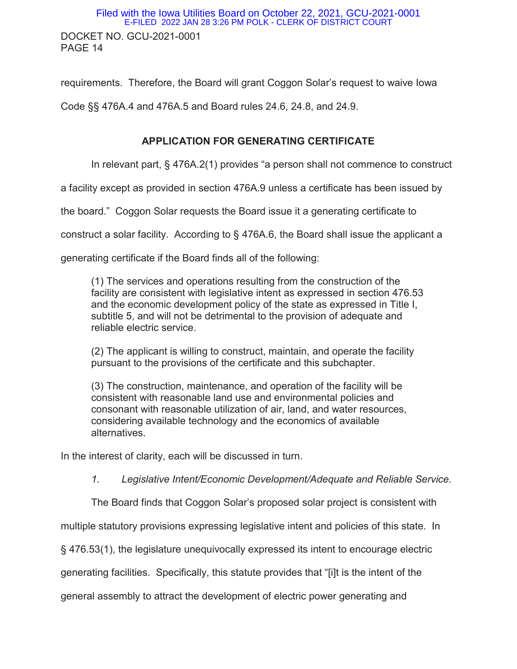DOCKET NO. GCU-2021-0001 PAGE 14 Filed with the Iowa Utilities Board on October 22, 2021, GCU-2021-0001 E-FILED 2022 JAN 28 3:26 PM POLK - CLERK OF DISTRICT COURT

requirements. Therefore, the Board will grant Coggon Solar's request to waive Iowa

Code §§ 476A.4 and 476A.5 and Board rules 24.6, 24.8, and 24.9.

### **APPLICATION FOR GENERATING CERTIFICATE**

In relevant part, § 476A.2(1) provides "a person shall not commence to construct

a facility except as provided in section 476A.9 unless a certificate has been issued by

the board." Coggon Solar requests the Board issue it a generating certificate to

construct a solar facility. According to § 476A.6, the Board shall issue the applicant a

generating certificate if the Board finds all of the following:

(1) The services and operations resulting from the construction of the facility are consistent with legislative intent as expressed in section 476.53 and the economic development policy of the state as expressed in Title I, subtitle 5, and will not be detrimental to the provision of adequate and reliable electric service.

(2) The applicant is willing to construct, maintain, and operate the facility pursuant to the provisions of the certificate and this subchapter.

(3) The construction, maintenance, and operation of the facility will be consistent with reasonable land use and environmental policies and consonant with reasonable utilization of air, land, and water resources, considering available technology and the economics of available alternatives.

In the interest of clarity, each will be discussed in turn.

*1. Legislative Intent/Economic Development/Adequate and Reliable Service.* 

The Board finds that Coggon Solar's proposed solar project is consistent with

multiple statutory provisions expressing legislative intent and policies of this state. In

§ 476.53(1), the legislature unequivocally expressed its intent to encourage electric

generating facilities. Specifically, this statute provides that "[i]t is the intent of the

general assembly to attract the development of electric power generating and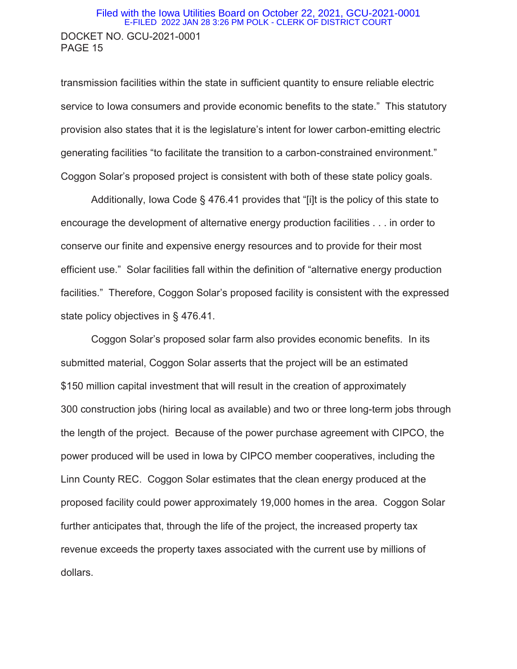### DOCKET NO. GCU-2021-0001 PAGE 15 Filed with the Iowa Utilities Board on October 22, 2021, GCU-2021-0001 E-FILED 2022 JAN 28 3:26 PM POLK - CLERK OF DISTRICT COURT

transmission facilities within the state in sufficient quantity to ensure reliable electric service to Iowa consumers and provide economic benefits to the state." This statutory provision also states that it is the legislature's intent for lower carbon-emitting electric generating facilities "to facilitate the transition to a carbon-constrained environment." Coggon Solar's proposed project is consistent with both of these state policy goals.

Additionally, Iowa Code § 476.41 provides that "[i]t is the policy of this state to encourage the development of alternative energy production facilities . . . in order to conserve our finite and expensive energy resources and to provide for their most efficient use." Solar facilities fall within the definition of "alternative energy production facilities." Therefore, Coggon Solar's proposed facility is consistent with the expressed state policy objectives in § 476.41.

Coggon Solar's proposed solar farm also provides economic benefits. In its submitted material, Coggon Solar asserts that the project will be an estimated \$150 million capital investment that will result in the creation of approximately 300 construction jobs (hiring local as available) and two or three long-term jobs through the length of the project. Because of the power purchase agreement with CIPCO, the power produced will be used in Iowa by CIPCO member cooperatives, including the Linn County REC. Coggon Solar estimates that the clean energy produced at the proposed facility could power approximately 19,000 homes in the area. Coggon Solar further anticipates that, through the life of the project, the increased property tax revenue exceeds the property taxes associated with the current use by millions of dollars.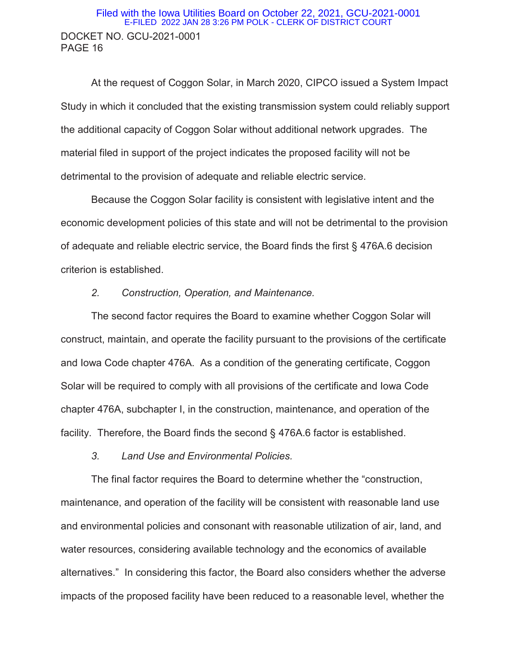### DOCKET NO. GCU-2021-0001 PAGE 16 Filed with the Iowa Utilities Board on October 22, 2021, GCU-2021-0001 E-FILED 2022 JAN 28 3:26 PM POLK - CLERK OF DISTRICT COURT

At the request of Coggon Solar, in March 2020, CIPCO issued a System Impact Study in which it concluded that the existing transmission system could reliably support the additional capacity of Coggon Solar without additional network upgrades. The material filed in support of the project indicates the proposed facility will not be detrimental to the provision of adequate and reliable electric service.

 Because the Coggon Solar facility is consistent with legislative intent and the economic development policies of this state and will not be detrimental to the provision of adequate and reliable electric service, the Board finds the first § 476A.6 decision criterion is established.

#### *2. Construction, Operation, and Maintenance.*

 The second factor requires the Board to examine whether Coggon Solar will construct, maintain, and operate the facility pursuant to the provisions of the certificate and Iowa Code chapter 476A. As a condition of the generating certificate, Coggon Solar will be required to comply with all provisions of the certificate and Iowa Code chapter 476A, subchapter I, in the construction, maintenance, and operation of the facility. Therefore, the Board finds the second § 476A.6 factor is established.

*3. Land Use and Environmental Policies.* 

The final factor requires the Board to determine whether the "construction, maintenance, and operation of the facility will be consistent with reasonable land use and environmental policies and consonant with reasonable utilization of air, land, and water resources, considering available technology and the economics of available alternatives." In considering this factor, the Board also considers whether the adverse impacts of the proposed facility have been reduced to a reasonable level, whether the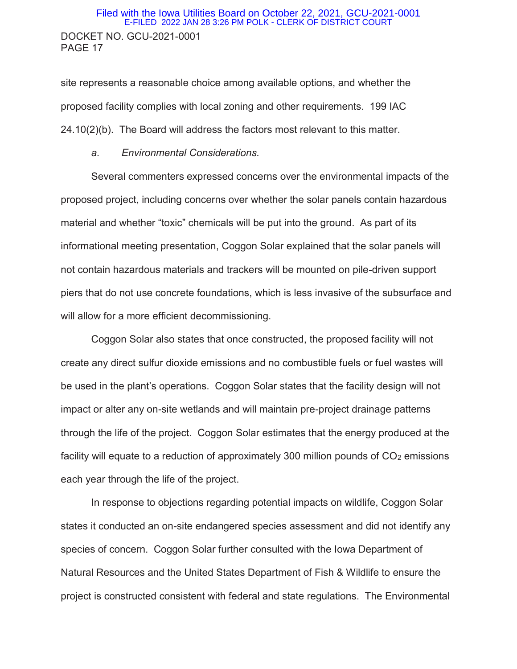### DOCKET NO. GCU-2021-0001 PAGE 17 Filed with the Iowa Utilities Board on October 22, 2021, GCU-2021-0001 E-FILED 2022 JAN 28 3:26 PM POLK - CLERK OF DISTRICT COURT

site represents a reasonable choice among available options, and whether the proposed facility complies with local zoning and other requirements. 199 IAC 24.10(2)(b). The Board will address the factors most relevant to this matter.

#### *a. Environmental Considerations.*

 Several commenters expressed concerns over the environmental impacts of the proposed project, including concerns over whether the solar panels contain hazardous material and whether "toxic" chemicals will be put into the ground. As part of its informational meeting presentation, Coggon Solar explained that the solar panels will not contain hazardous materials and trackers will be mounted on pile-driven support piers that do not use concrete foundations, which is less invasive of the subsurface and will allow for a more efficient decommissioning.

Coggon Solar also states that once constructed, the proposed facility will not create any direct sulfur dioxide emissions and no combustible fuels or fuel wastes will be used in the plant's operations. Coggon Solar states that the facility design will not impact or alter any on-site wetlands and will maintain pre-project drainage patterns through the life of the project. Coggon Solar estimates that the energy produced at the facility will equate to a reduction of approximately 300 million pounds of  $CO<sub>2</sub>$  emissions each year through the life of the project.

 In response to objections regarding potential impacts on wildlife, Coggon Solar states it conducted an on-site endangered species assessment and did not identify any species of concern. Coggon Solar further consulted with the Iowa Department of Natural Resources and the United States Department of Fish & Wildlife to ensure the project is constructed consistent with federal and state regulations. The Environmental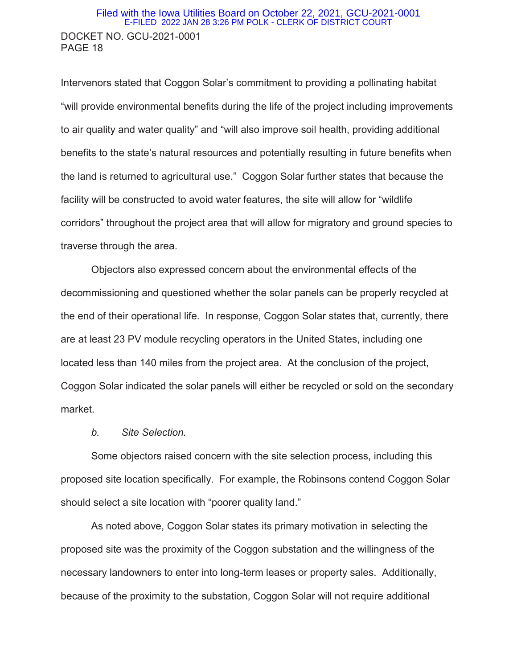### DOCKET NO. GCU-2021-0001 PAGE 18 Filed with the Iowa Utilities Board on October 22, 2021, GCU-2021-0001 E-FILED 2022 JAN 28 3:26 PM POLK - CLERK OF DISTRICT COURT

Intervenors stated that Coggon Solar's commitment to providing a pollinating habitat "will provide environmental benefits during the life of the project including improvements to air quality and water quality" and "will also improve soil health, providing additional benefits to the state's natural resources and potentially resulting in future benefits when the land is returned to agricultural use." Coggon Solar further states that because the facility will be constructed to avoid water features, the site will allow for "wildlife corridors" throughout the project area that will allow for migratory and ground species to traverse through the area.

 Objectors also expressed concern about the environmental effects of the decommissioning and questioned whether the solar panels can be properly recycled at the end of their operational life. In response, Coggon Solar states that, currently, there are at least 23 PV module recycling operators in the United States, including one located less than 140 miles from the project area. At the conclusion of the project, Coggon Solar indicated the solar panels will either be recycled or sold on the secondary market.

#### *b. Site Selection.*

 Some objectors raised concern with the site selection process, including this proposed site location specifically. For example, the Robinsons contend Coggon Solar should select a site location with "poorer quality land."

 As noted above, Coggon Solar states its primary motivation in selecting the proposed site was the proximity of the Coggon substation and the willingness of the necessary landowners to enter into long-term leases or property sales. Additionally, because of the proximity to the substation, Coggon Solar will not require additional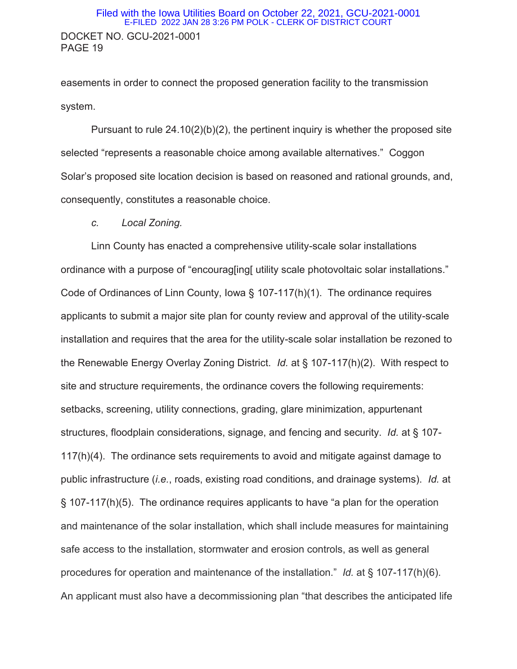### DOCKET NO. GCU-2021-0001 PAGE 19 Filed with the Iowa Utilities Board on October 22, 2021, GCU-2021-0001 E-FILED 2022 JAN 28 3:26 PM POLK - CLERK OF DISTRICT COURT

easements in order to connect the proposed generation facility to the transmission system.

Pursuant to rule 24.10(2)(b)(2), the pertinent inquiry is whether the proposed site selected "represents a reasonable choice among available alternatives." Coggon Solar's proposed site location decision is based on reasoned and rational grounds, and, consequently, constitutes a reasonable choice.

 *c. Local Zoning.* 

 Linn County has enacted a comprehensive utility-scale solar installations ordinance with a purpose of "encourag[ing[ utility scale photovoltaic solar installations." Code of Ordinances of Linn County, Iowa § 107-117(h)(1). The ordinance requires applicants to submit a major site plan for county review and approval of the utility-scale installation and requires that the area for the utility-scale solar installation be rezoned to the Renewable Energy Overlay Zoning District. *Id.* at § 107-117(h)(2). With respect to site and structure requirements, the ordinance covers the following requirements: setbacks, screening, utility connections, grading, glare minimization, appurtenant structures, floodplain considerations, signage, and fencing and security. *Id.* at § 107- 117(h)(4). The ordinance sets requirements to avoid and mitigate against damage to public infrastructure (*i.e.*, roads, existing road conditions, and drainage systems). *Id.* at § 107-117(h)(5). The ordinance requires applicants to have "a plan for the operation and maintenance of the solar installation, which shall include measures for maintaining safe access to the installation, stormwater and erosion controls, as well as general procedures for operation and maintenance of the installation." *Id.* at § 107-117(h)(6). An applicant must also have a decommissioning plan "that describes the anticipated life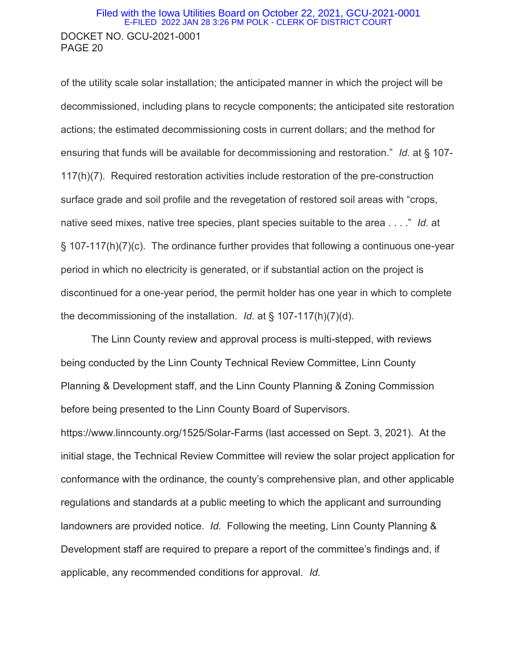#### DOCKET NO. GCU-2021-0001 PAGE 20 Filed with the Iowa Utilities Board on October 22, 2021, GCU-2021-0001 E-FILED 2022 JAN 28 3:26 PM POLK - CLERK OF DISTRICT COURT

of the utility scale solar installation; the anticipated manner in which the project will be decommissioned, including plans to recycle components; the anticipated site restoration actions; the estimated decommissioning costs in current dollars; and the method for ensuring that funds will be available for decommissioning and restoration." *Id.* at § 107- 117(h)(7). Required restoration activities include restoration of the pre-construction surface grade and soil profile and the revegetation of restored soil areas with "crops, native seed mixes, native tree species, plant species suitable to the area . . . ." *Id.* at § 107-117(h)(7)(c). The ordinance further provides that following a continuous one-year period in which no electricity is generated, or if substantial action on the project is discontinued for a one-year period, the permit holder has one year in which to complete the decommissioning of the installation. *Id.* at § 107-117(h)(7)(d).

 The Linn County review and approval process is multi-stepped, with reviews being conducted by the Linn County Technical Review Committee, Linn County Planning & Development staff, and the Linn County Planning & Zoning Commission before being presented to the Linn County Board of Supervisors.

https://www.linncounty.org/1525/Solar-Farms (last accessed on Sept. 3, 2021). At the initial stage, the Technical Review Committee will review the solar project application for conformance with the ordinance, the county's comprehensive plan, and other applicable regulations and standards at a public meeting to which the applicant and surrounding landowners are provided notice. *Id.* Following the meeting, Linn County Planning & Development staff are required to prepare a report of the committee's findings and, if applicable, any recommended conditions for approval. *Id.*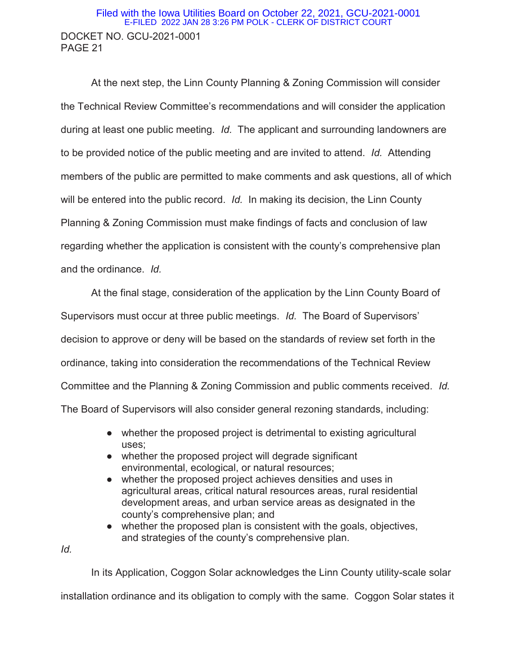## DOCKET NO. GCU-2021-0001 PAGE 21 Filed with the Iowa Utilities Board on October 22, 2021, GCU-2021-0001 E-FILED 2022 JAN 28 3:26 PM POLK - CLERK OF DISTRICT COURT

 At the next step, the Linn County Planning & Zoning Commission will consider the Technical Review Committee's recommendations and will consider the application during at least one public meeting. *Id.* The applicant and surrounding landowners are to be provided notice of the public meeting and are invited to attend. *Id.* Attending members of the public are permitted to make comments and ask questions, all of which will be entered into the public record. *Id.* In making its decision, the Linn County Planning & Zoning Commission must make findings of facts and conclusion of law regarding whether the application is consistent with the county's comprehensive plan and the ordinance. *Id.*

 At the final stage, consideration of the application by the Linn County Board of Supervisors must occur at three public meetings. *Id.* The Board of Supervisors' decision to approve or deny will be based on the standards of review set forth in the ordinance, taking into consideration the recommendations of the Technical Review Committee and the Planning & Zoning Commission and public comments received. *Id.* The Board of Supervisors will also consider general rezoning standards, including:

- whether the proposed project is detrimental to existing agricultural uses;
- whether the proposed project will degrade significant environmental, ecological, or natural resources;
- whether the proposed project achieves densities and uses in agricultural areas, critical natural resources areas, rural residential development areas, and urban service areas as designated in the county's comprehensive plan; and
- whether the proposed plan is consistent with the goals, objectives, and strategies of the county's comprehensive plan.

*Id.* 

In its Application, Coggon Solar acknowledges the Linn County utility-scale solar

installation ordinance and its obligation to comply with the same. Coggon Solar states it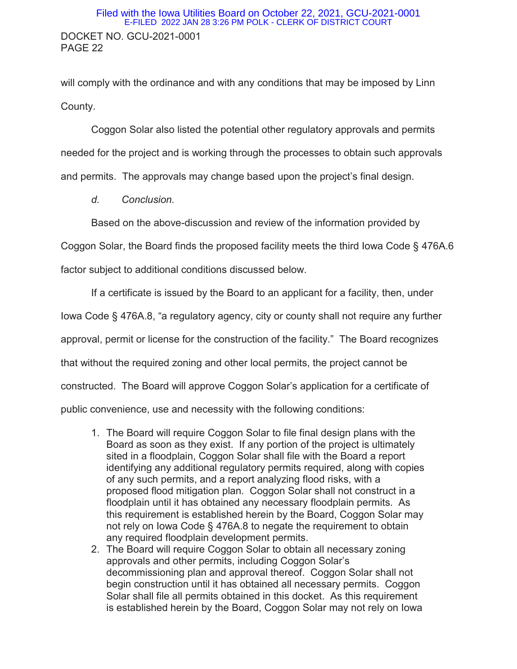### DOCKET NO. GCU-2021-0001 PAGE 22 Filed with the Iowa Utilities Board on October 22, 2021, GCU-2021-0001 E-FILED 2022 JAN 28 3:26 PM POLK - CLERK OF DISTRICT COURT

will comply with the ordinance and with any conditions that may be imposed by Linn County.

 Coggon Solar also listed the potential other regulatory approvals and permits needed for the project and is working through the processes to obtain such approvals and permits. The approvals may change based upon the project's final design.

*d. Conclusion.* 

Based on the above-discussion and review of the information provided by

Coggon Solar, the Board finds the proposed facility meets the third Iowa Code § 476A.6

factor subject to additional conditions discussed below.

If a certificate is issued by the Board to an applicant for a facility, then, under Iowa Code § 476A.8, "a regulatory agency, city or county shall not require any further approval, permit or license for the construction of the facility." The Board recognizes that without the required zoning and other local permits, the project cannot be constructed. The Board will approve Coggon Solar's application for a certificate of public convenience, use and necessity with the following conditions:

- 1. The Board will require Coggon Solar to file final design plans with the Board as soon as they exist. If any portion of the project is ultimately sited in a floodplain, Coggon Solar shall file with the Board a report identifying any additional regulatory permits required, along with copies of any such permits, and a report analyzing flood risks, with a proposed flood mitigation plan. Coggon Solar shall not construct in a floodplain until it has obtained any necessary floodplain permits. As this requirement is established herein by the Board, Coggon Solar may not rely on Iowa Code § 476A.8 to negate the requirement to obtain any required floodplain development permits.
- 2. The Board will require Coggon Solar to obtain all necessary zoning approvals and other permits, including Coggon Solar's decommissioning plan and approval thereof. Coggon Solar shall not begin construction until it has obtained all necessary permits. Coggon Solar shall file all permits obtained in this docket. As this requirement is established herein by the Board, Coggon Solar may not rely on Iowa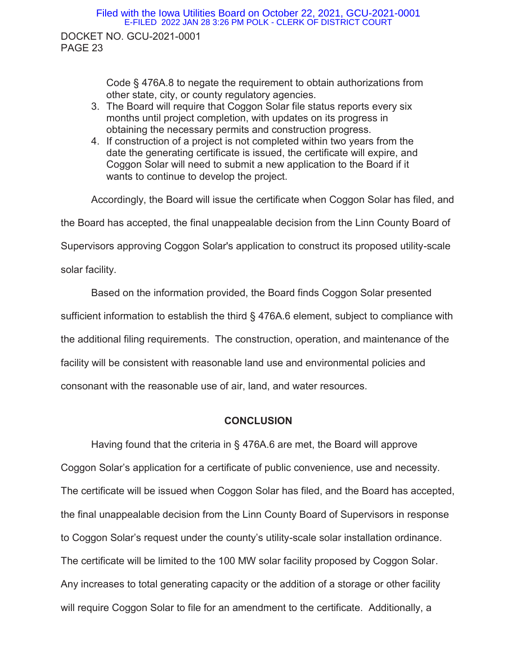#### Filed with the Iowa Utilities Board on October 22, 2021, GCU-2021-0001 E-FILED 2022 JAN 28 3:26 PM POLK - CLERK OF DISTRICT COURT

DOCKET NO. GCU-2021-0001 PAGE 23

> Code § 476A.8 to negate the requirement to obtain authorizations from other state, city, or county regulatory agencies.

- 3. The Board will require that Coggon Solar file status reports every six months until project completion, with updates on its progress in obtaining the necessary permits and construction progress.
- 4. If construction of a project is not completed within two years from the date the generating certificate is issued, the certificate will expire, and Coggon Solar will need to submit a new application to the Board if it wants to continue to develop the project.

 Accordingly, the Board will issue the certificate when Coggon Solar has filed, and the Board has accepted, the final unappealable decision from the Linn County Board of Supervisors approving Coggon Solar's application to construct its proposed utility-scale solar facility.

Based on the information provided, the Board finds Coggon Solar presented sufficient information to establish the third § 476A.6 element, subject to compliance with the additional filing requirements. The construction, operation, and maintenance of the facility will be consistent with reasonable land use and environmental policies and consonant with the reasonable use of air, land, and water resources.

### **CONCLUSION**

 Having found that the criteria in § 476A.6 are met, the Board will approve Coggon Solar's application for a certificate of public convenience, use and necessity. The certificate will be issued when Coggon Solar has filed, and the Board has accepted, the final unappealable decision from the Linn County Board of Supervisors in response to Coggon Solar's request under the county's utility-scale solar installation ordinance. The certificate will be limited to the 100 MW solar facility proposed by Coggon Solar. Any increases to total generating capacity or the addition of a storage or other facility will require Coggon Solar to file for an amendment to the certificate. Additionally, a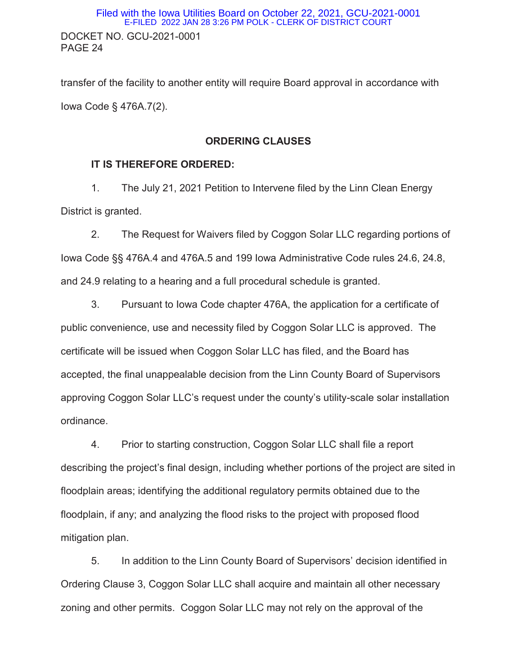## DOCKET NO. GCU-2021-0001 PAGE 24 Filed with the Iowa Utilities Board on October 22, 2021, GCU-2021-0001 E-FILED 2022 JAN 28 3:26 PM POLK - CLERK OF DISTRICT COURT

transfer of the facility to another entity will require Board approval in accordance with Iowa Code § 476A.7(2).

#### **ORDERING CLAUSES**

#### **IT IS THEREFORE ORDERED:**

 1. The July 21, 2021 Petition to Intervene filed by the Linn Clean Energy District is granted.

2. The Request for Waivers filed by Coggon Solar LLC regarding portions of Iowa Code §§ 476A.4 and 476A.5 and 199 Iowa Administrative Code rules 24.6, 24.8, and 24.9 relating to a hearing and a full procedural schedule is granted.

 3. Pursuant to Iowa Code chapter 476A, the application for a certificate of public convenience, use and necessity filed by Coggon Solar LLC is approved. The certificate will be issued when Coggon Solar LLC has filed, and the Board has accepted, the final unappealable decision from the Linn County Board of Supervisors approving Coggon Solar LLC's request under the county's utility-scale solar installation ordinance.

 4. Prior to starting construction, Coggon Solar LLC shall file a report describing the project's final design, including whether portions of the project are sited in floodplain areas; identifying the additional regulatory permits obtained due to the floodplain, if any; and analyzing the flood risks to the project with proposed flood mitigation plan.

5. In addition to the Linn County Board of Supervisors' decision identified in Ordering Clause 3, Coggon Solar LLC shall acquire and maintain all other necessary zoning and other permits. Coggon Solar LLC may not rely on the approval of the